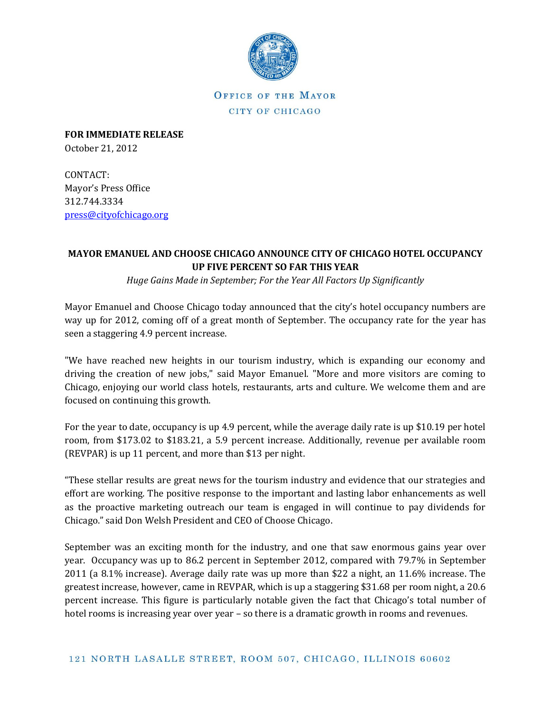

OFFICE OF THE MAYOR CITY OF CHICAGO

**FOR IMMEDIATE RELEASE** October 21, 2012

CONTACT: Mayor's Press Office 312.744.3334 [press@cityofchicago.org](mailto:press@cityofchicago.org)

## **MAYOR EMANUEL AND CHOOSE CHICAGO ANNOUNCE CITY OF CHICAGO HOTEL OCCUPANCY UP FIVE PERCENT SO FAR THIS YEAR**

*Huge Gains Made in September; For the Year All Factors Up Significantly*

Mayor Emanuel and Choose Chicago today announced that the city's hotel occupancy numbers are way up for 2012, coming off of a great month of September. The occupancy rate for the year has seen a staggering 4.9 percent increase.

"We have reached new heights in our tourism industry, which is expanding our economy and driving the creation of new jobs," said Mayor Emanuel. "More and more visitors are coming to Chicago, enjoying our world class hotels, restaurants, arts and culture. We welcome them and are focused on continuing this growth.

For the year to date, occupancy is up 4.9 percent, while the average daily rate is up \$10.19 per hotel room, from \$173.02 to \$183.21, a 5.9 percent increase. Additionally, revenue per available room (REVPAR) is up 11 percent, and more than \$13 per night.

"These stellar results are great news for the tourism industry and evidence that our strategies and effort are working. The positive response to the important and lasting labor enhancements as well as the proactive marketing outreach our team is engaged in will continue to pay dividends for Chicago." said Don Welsh President and CEO of Choose Chicago.

September was an exciting month for the industry, and one that saw enormous gains year over year. Occupancy was up to 86.2 percent in September 2012, compared with 79.7% in September 2011 (a 8.1% increase). Average daily rate was up more than \$22 a night, an 11.6% increase. The greatest increase, however, came in REVPAR, which is up a staggering \$31.68 per room night, a 20.6 percent increase. This figure is particularly notable given the fact that Chicago's total number of hotel rooms is increasing year over year – so there is a dramatic growth in rooms and revenues.